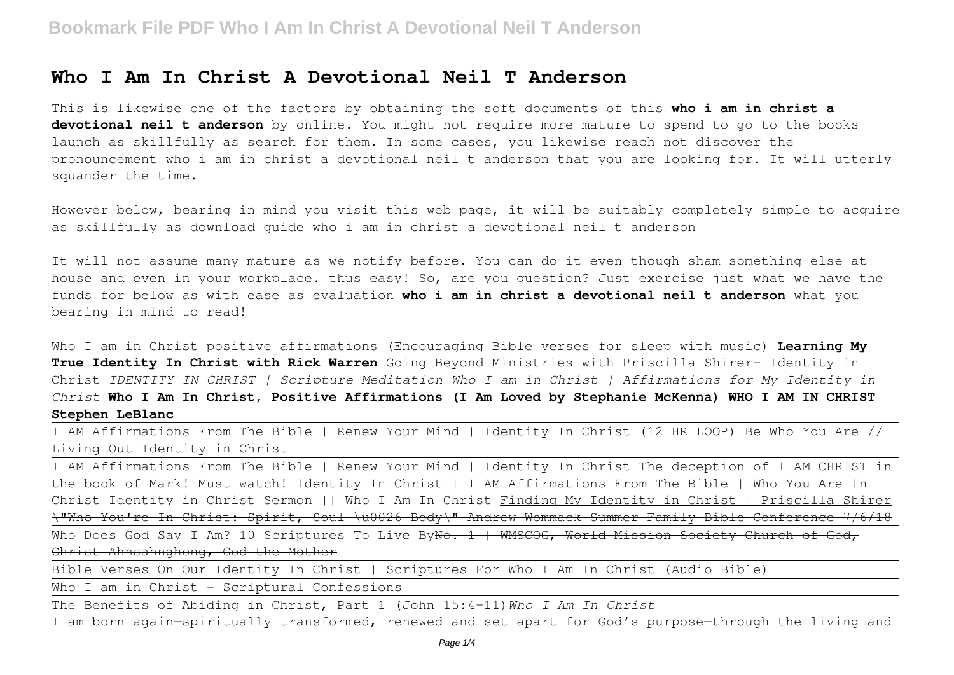### **Who I Am In Christ A Devotional Neil T Anderson**

This is likewise one of the factors by obtaining the soft documents of this **who i am in christ a devotional neil t anderson** by online. You might not require more mature to spend to go to the books launch as skillfully as search for them. In some cases, you likewise reach not discover the pronouncement who i am in christ a devotional neil t anderson that you are looking for. It will utterly squander the time.

However below, bearing in mind you visit this web page, it will be suitably completely simple to acquire as skillfully as download guide who i am in christ a devotional neil t anderson

It will not assume many mature as we notify before. You can do it even though sham something else at house and even in your workplace. thus easy! So, are you question? Just exercise just what we have the funds for below as with ease as evaluation **who i am in christ a devotional neil t anderson** what you bearing in mind to read!

Who I am in Christ positive affirmations (Encouraging Bible verses for sleep with music) **Learning My True Identity In Christ with Rick Warren** Going Beyond Ministries with Priscilla Shirer- Identity in Christ *IDENTITY IN CHRIST | Scripture Meditation Who I am in Christ | Affirmations for My Identity in Christ* **Who I Am In Christ, Positive Affirmations (I Am Loved by Stephanie McKenna) WHO I AM IN CHRIST Stephen LeBlanc**

I AM Affirmations From The Bible | Renew Your Mind | Identity In Christ (12 HR LOOP) Be Who You Are // Living Out Identity in Christ

I AM Affirmations From The Bible | Renew Your Mind | Identity In Christ The deception of I AM CHRIST in the book of Mark! Must watch! Identity In Christ | I AM Affirmations From The Bible | Who You Are In Christ <del>Identity in Christ Sermon || Who I Am In Christ</del> Finding My Identity in Christ | Priscilla Shirer \"Who You're In Christ: Spirit, Soul \u0026 Body\" Andrew Wommack Summer Family Bible Conference 7/6/18

Who Does God Say I Am? 10 Scriptures To Live ByNo. 1 | WMSCOG, World Mission Society Church of God, Christ Ahnsahnghong, God the Mother

Bible Verses On Our Identity In Christ | Scriptures For Who I Am In Christ (Audio Bible)

Who I am in Christ - Scriptural Confessions

The Benefits of Abiding in Christ, Part 1 (John 15:4–11)*Who I Am In Christ* I am born again—spiritually transformed, renewed and set apart for God's purpose—through the living and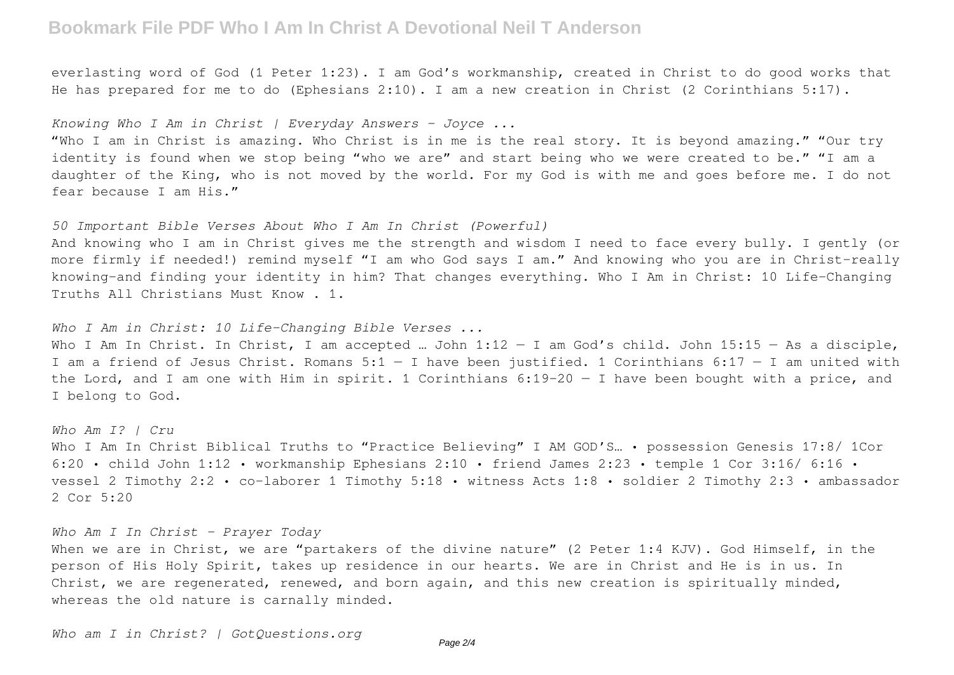## **Bookmark File PDF Who I Am In Christ A Devotional Neil T Anderson**

everlasting word of God (1 Peter 1:23). I am God's workmanship, created in Christ to do good works that He has prepared for me to do (Ephesians 2:10). I am a new creation in Christ (2 Corinthians 5:17).

*Knowing Who I Am in Christ | Everyday Answers - Joyce ...*

"Who I am in Christ is amazing. Who Christ is in me is the real story. It is beyond amazing." "Our try identity is found when we stop being "who we are" and start being who we were created to be." "I am a daughter of the King, who is not moved by the world. For my God is with me and goes before me. I do not fear because I am His."

*50 Important Bible Verses About Who I Am In Christ (Powerful)*

And knowing who I am in Christ gives me the strength and wisdom I need to face every bully. I gently (or more firmly if needed!) remind myself "I am who God says I am." And knowing who you are in Christ–really knowing–and finding your identity in him? That changes everything. Who I Am in Christ: 10 Life-Changing Truths All Christians Must Know . 1.

*Who I Am in Christ: 10 Life-Changing Bible Verses ...*

Who I Am In Christ. In Christ, I am accepted ... John  $1:12 - I$  am God's child. John  $15:15 - As$  a disciple, I am a friend of Jesus Christ. Romans  $5:1 - I$  have been justified. 1 Corinthians  $6:17 - I$  am united with the Lord, and I am one with Him in spirit. 1 Corinthians 6:19-20 — I have been bought with a price, and I belong to God.

*Who Am I? | Cru* Who I Am In Christ Biblical Truths to "Practice Believing" I AM GOD'S... . possession Genesis 17:8/ 1Cor 6:20 • child John 1:12 • workmanship Ephesians 2:10 • friend James 2:23 • temple 1 Cor 3:16/ 6:16 • vessel 2 Timothy 2:2 • co-laborer 1 Timothy 5:18 • witness Acts 1:8 • soldier 2 Timothy 2:3 • ambassador 2 Cor 5:20

*Who Am I In Christ - Prayer Today* When we are in Christ, we are "partakers of the divine nature" (2 Peter 1:4 KJV). God Himself, in the person of His Holy Spirit, takes up residence in our hearts. We are in Christ and He is in us. In Christ, we are regenerated, renewed, and born again, and this new creation is spiritually minded, whereas the old nature is carnally minded.

*Who am I in Christ? | GotQuestions.org*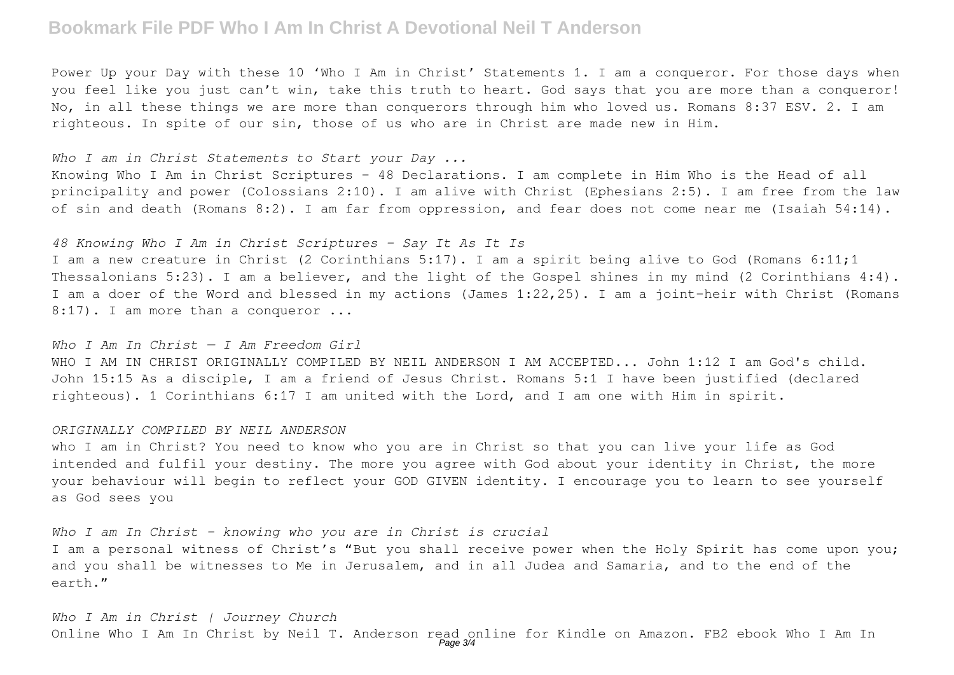## **Bookmark File PDF Who I Am In Christ A Devotional Neil T Anderson**

Power Up your Day with these 10 'Who I Am in Christ' Statements 1. I am a conqueror. For those days when you feel like you just can't win, take this truth to heart. God says that you are more than a conqueror! No, in all these things we are more than conquerors through him who loved us. Romans 8:37 ESV. 2. I am righteous. In spite of our sin, those of us who are in Christ are made new in Him.

#### *Who I am in Christ Statements to Start your Day ...*

Knowing Who I Am in Christ Scriptures – 48 Declarations. I am complete in Him Who is the Head of all principality and power (Colossians 2:10). I am alive with Christ (Ephesians 2:5). I am free from the law of sin and death (Romans 8:2). I am far from oppression, and fear does not come near me (Isaiah 54:14).

### *48 Knowing Who I Am in Christ Scriptures - Say It As It Is*

I am a new creature in Christ (2 Corinthians 5:17). I am a spirit being alive to God (Romans 6:11;1 Thessalonians 5:23). I am a believer, and the light of the Gospel shines in my mind (2 Corinthians 4:4). I am a doer of the Word and blessed in my actions (James 1:22,25). I am a joint-heir with Christ (Romans 8:17). I am more than a conqueror ...

#### *Who I Am In Christ — I Am Freedom Girl*

WHO I AM IN CHRIST ORIGINALLY COMPILED BY NEIL ANDERSON I AM ACCEPTED... John 1:12 I am God's child. John 15:15 As a disciple, I am a friend of Jesus Christ. Romans 5:1 I have been justified (declared righteous). 1 Corinthians 6:17 I am united with the Lord, and I am one with Him in spirit.

#### *ORIGINALLY COMPILED BY NEIL ANDERSON*

who I am in Christ? You need to know who you are in Christ so that you can live your life as God intended and fulfil your destiny. The more you agree with God about your identity in Christ, the more your behaviour will begin to reflect your GOD GIVEN identity. I encourage you to learn to see yourself as God sees you

### *Who I am In Christ - knowing who you are in Christ is crucial*

I am a personal witness of Christ's "But you shall receive power when the Holy Spirit has come upon you; and you shall be witnesses to Me in Jerusalem, and in all Judea and Samaria, and to the end of the earth."

*Who I Am in Christ | Journey Church* Online Who I Am In Christ by Neil T. Anderson read online for Kindle on Amazon. FB2 ebook Who I Am In